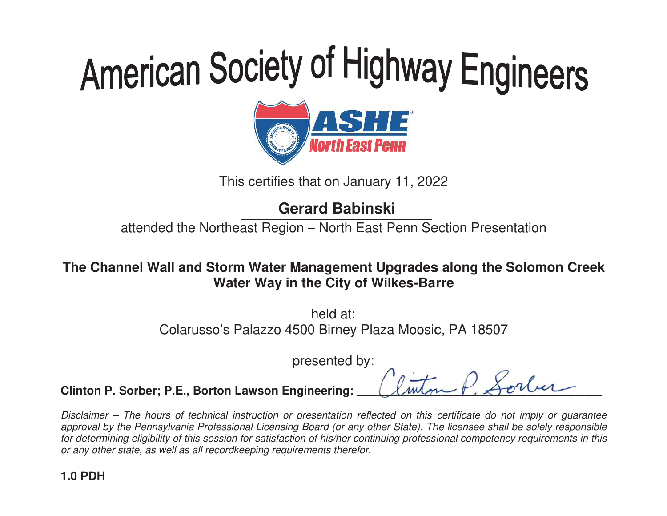

This certifies that on January 11, 2022

# **Gerard Babinski**

attended the Northeast Region – North East Penn Section Presentation

# The Channel Wall and Storm Water Management Upgrades along the Solomon Creek<br>Water Way in the City of Wilkes-Barre This certifies that on January 11, 2022<br> **Gerard Babinski**<br>
tended the Northeast Region – North East Penn Section Presenta<br>
el **Wall and Storm Water Management Upgrades along the Sol<br>
Water Way in the City of Wilkes-Barre<br> Water Way in the City of Wilkes-Barre**

Colarusso's Palazzo 4500 Birney Plaza Moosic, PA 18507<br>presented by: h held at:

presented by:

-- $\overline{\mathcal{C}}$ 

----- $\overline{A}$  $\overline{a}$ - $\overline{A}$ <u>لي</u> ------------

--- $\overline{\mathcal{U}}$ -------------- $\leq$ ------ $\frac{\iota}{\iota}$  $\overline{ }$ <u>با</u> ----<u>ا</u>

-

-----------

**Clinton P. Sorber; P.E., Borton Lawson Engineering: \_** --

Disclaimer – The hours of technical instruction or presentation reflected on this certificate do not imply or quarantee approval by the Pennsylvania Professional Licensing Board (or any other State). The licensee shall be solely responsible for determining eligibility of this session for satisfaction of his/her continu or any other state, as well as all recordkeeping requirements therefor. ral by the Pennsylvania Professional Licensing Board (or any other State). The licensee shall<br>ermining eligibility of this session for satisfaction of his/her continuing professional competenc<br>other state, as well as all r **Gerard Babinski**<br>
attended the Northeast Region – North East Penn Sective<br>
he Channel Wall and Storm Water Management Upgrades al<br>
Water Way in the City of Wilkes-Barre<br>
held at:<br>
Colarusso's Palazzo 4500 Birney Plaza Moo continuing professional competency requirements in this The Channel Wall and Storm Water Management Upgrades along the Solomon Creek<br>
Water Way in the City of Wilkes-Barre<br>
held at:<br>
Colarusso's Palazzo 4500 Birney Plaza Moosic, PA 18507<br>
presented by:<br>
Clinton P. Sorber; P.E.,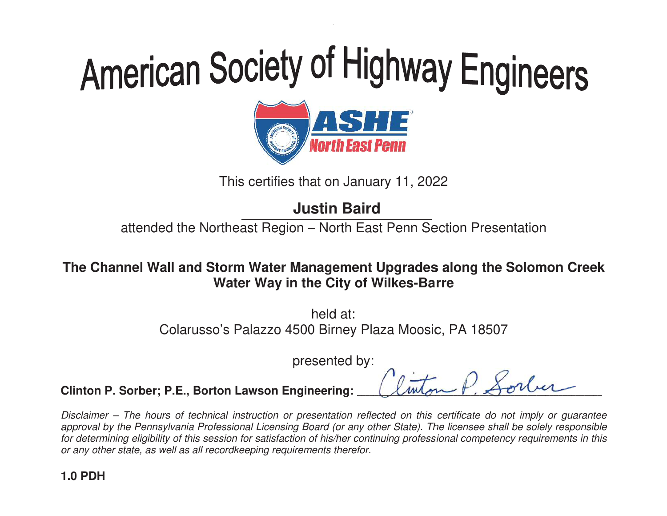# American Society of Highway Engineers<br> **ORIGE:**<br>
This certifies that on January 11, 2022<br>
Justin Baird



This certifies that on January 11, 2022

attended the Northeast Region – North East Penn Section Presentation

# The Channel Wall and Storm Water Management Upgrades along the Solomon Creek<br>Water Way in the City of Wilkes-Barre **Water Way in the City of Wilkes-Barre**

Colarusso's Palazzo 4500 Birney Plaza Moosic, PA 18507<br>presented by: h held at:

presented by:

--- $\overline{\mathcal{C}}$ 

----- $\overline{A}$  $\overline{a}$ - $\overline{A}$ <u>لي</u> ------------

--- $\overline{\mathcal{U}}$ -------------- $\leq$ ------ $\frac{\iota}{\iota}$  $\overline{ }$ <u>با</u> ----<u>ا</u>

-

-----------

**Clinton P. Sorber; P.E., Borton Lawson Engineering: \_** -

Disclaimer – The hours of technical instruction or presentation reflected on this certificate do not imply or quarantee approval by the Pennsylvania Professional Licensing Board (or any other State). The licensee shall be solely responsible for determining eligibility of this session for satisfaction of his/her continu or any other state, as well as all recordkeeping requirements therefor. ral by the Pennsylvania Professional Licensing Board (or any other State). The licensee shall<br>ermining eligibility of this session for satisfaction of his/her continuing professional competenc<br>other state, as well as all r This certifies that on January 11, 2022<br> **Justin Baird**<br>
tended the Northeast Region – North East Penn Section Presenta<br>
el **Wall and Storm Water Management Upgrades along the Sol<br>
Water Way in the City of Wilkes-Barre<br>
he Water Way in the City of Wilkes-Barre**<br>
held at:<br>
Colarusso's Palazzo 4500 Birney Plaza Moosic, F<br>
presented by:<br> **inton P. Sorber; P.E., Borton Lawson Engineering:**<br> *sclaimer – The hours of technical instruction or pres* continuing professional competency requirements in this The Channel Wall and Storm Water Management Upgrades along the Solomon Creek<br>
Water Way in the City of Wilkes-Barre<br>
held at:<br>
Colarusso's Palazzo 4500 Birney Plaza Moosic, PA 18507<br>
presented by:<br>
Clinton P. Sorber; P.E.,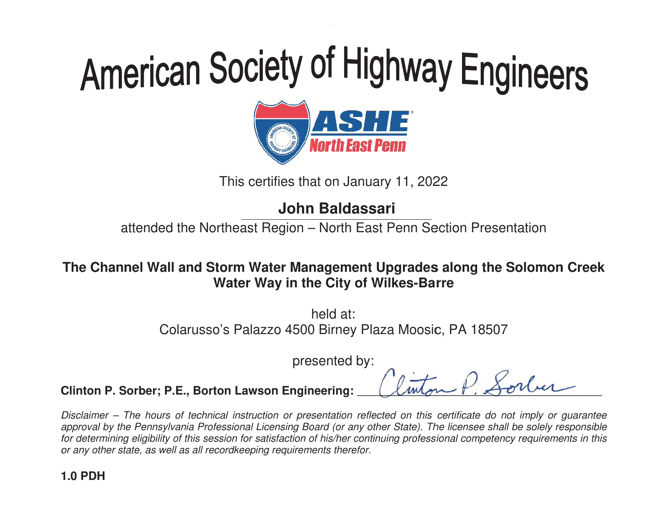# American Society of Highway Engineers<br> **ORIGITE:**<br>
This certifies that on January 11, 2022<br>
John Baldassari



This certifies that on January 11, 2022

attended the Northeast Region – North East Penn Section Presentation

# The Channel Wall and Storm Water Management Upgrades along the Solomon Creek<br>Water Way in the City of Wilkes-Barre **Water Way in the City of Wilkes-Barre**

Colarusso's Palazzo 4500 Birney Plaza Moosic, PA 18507<br>presented by: h held at:

presented by:

--- $\overline{A}$  $\overline{a}$ - $\overline{A}$ <u>لي</u> ------------

-- $\overline{\mathcal{U}}$ -------------- $\leq$ ------ $\frac{\iota}{\iota}$  $\overline{ }$ <u>با</u> ----<u>ا</u>

-

-----------

**Clinton P. Sorber; P.E., Borton Lawson Engineering: \_** ---- $\overline{\mathcal{C}}$ ---

Disclaimer – The hours of technical instruction or presentation reflected on this certificate do not imply or quarantee approval by the Pennsylvania Professional Licensing Board (or any other State). The licensee shall be solely responsible for determining eligibility of this session for satisfaction of his/her continu or any other state, as well as all recordkeeping requirements therefor. ral by the Pennsylvania Professional Licensing Board (or any other State). The licensee shall<br>ermining eligibility of this session for satisfaction of his/her continuing professional competenc<br>other state, as well as all r This certifies that on January 11, 2022<br> **John Baldassari**<br>
tended the Northeast Region – North East Penn Section Presenta<br>
el **Wall and Storm Water Management Upgrades along the Sol<br>
Water Way in the City of Wilkes-Barre<br> Water Way in the City of Wilkes-Barre**<br>
held at:<br>
Colarusso's Palazzo 4500 Birney Plaza Moosic, F<br>
presented by:<br> **inton P. Sorber; P.E., Borton Lawson Engineering:**<br> *sclaimer – The hours of technical instruction or pres* continuing professional competency requirements in this The Channel Wall and Storm Water Management Upgrades along the Solomon Creek<br>
Water Way in the City of Wilkes-Barre<br>
held at:<br>
Colarusso's Palazzo 4500 Birney Plaza Moosic, PA 18507<br>
presented by:<br>
Clinton P. Sorber; P.E.,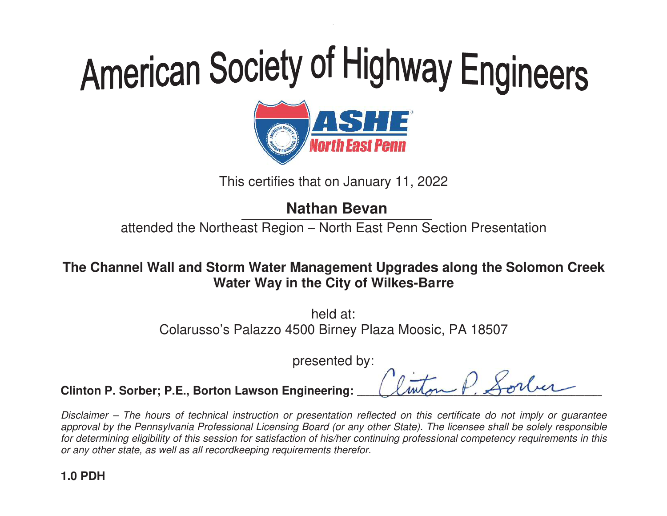# American Society of Highway Engineers<br> **ORIGITE:**<br>
This certifies that on January 11, 2022<br>
Nathan Bevan



This certifies that on January 11, 2022

attended the Northeast Region – North East Penn Section Presentation

# The Channel Wall and Storm Water Management Upgrades along the Solomon Creek<br>Water Way in the City of Wilkes-Barre This certifies that on January 11, 2022<br> **Nathan Bevan**<br>
tended the Northeast Region – North East Penn Section Presenta<br>
el **Wall and Storm Water Management Upgrades along the Sol<br>
Water Way in the City of Wilkes-Barre<br>
he Water Way in the City of Wilkes-Barre**

Colarusso's Palazzo 4500 Birney Plaza Moosic, PA 18507<br>presented by: h held at:

presented by:

--- $\overline{\mathcal{C}}$ 

----- $\overline{A}$  $\overline{a}$ - $\overline{A}$ <u>لي</u> ------------

--- $\overline{\mathcal{U}}$ -------------- $\leq$ ------ $\frac{\iota}{\iota}$  $\overline{ }$ <u>با</u> ----<u>ا</u>

-

-----------

**Clinton P. Sorber; P.E., Borton Lawson Engineering: \_** -

Disclaimer – The hours of technical instruction or presentation reflected on this certificate do not imply or quarantee approval by the Pennsylvania Professional Licensing Board (or any other State). The licensee shall be solely responsible for determining eligibility of this session for satisfaction of his/her continu or any other state, as well as all recordkeeping requirements therefor. ral by the Pennsylvania Professional Licensing Board (or any other State). The licensee shall<br>ermining eligibility of this session for satisfaction of his/her continuing professional competenc<br>other state, as well as all r **Water Way in the City of Wilkes-Barre**<br>
held at:<br>
Colarusso's Palazzo 4500 Birney Plaza Moosic, F<br>
presented by:<br> **inton P. Sorber; P.E., Borton Lawson Engineering:**<br> *sclaimer – The hours of technical instruction or pres* continuing professional competency requirements in this The Channel Wall and Storm Water Management Upgrades along the Solomon Creek<br>
Water Way in the City of Wilkes-Barre<br>
held at:<br>
Colarusso's Palazzo 4500 Birney Plaza Moosic, PA 18507<br>
presented by:<br>
Clinton P. Sorber; P.E.,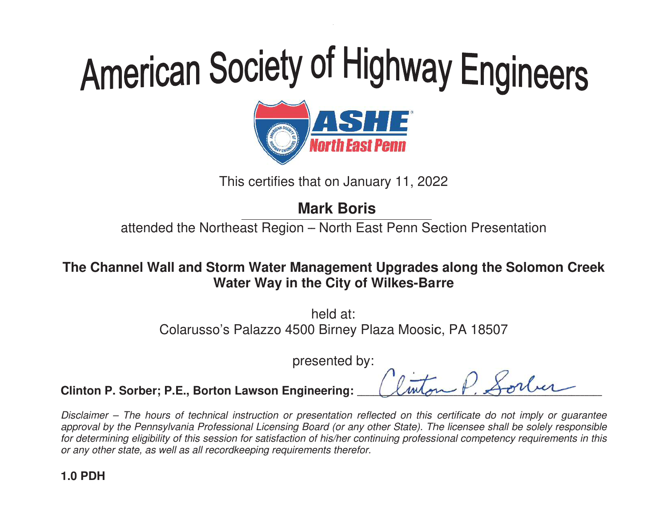

This certifies that on January 11, 2022

# **Mark Boris**

attended the Northeast Region – North East Penn Section Presentation

The Channel Wall and Storm Water Management Upgrades along the Solomon Creek<br>Water Way in the City of Wilkes-Barre **Water Way in the City of Wilkes-Barre** 

> Colarusso's Palazzo 4500 Birney Plaza Moosic, PA 18507<br>presented by: h held at:

presented by:

---- $\overline{\mathcal{C}}$ 

----- $\overline{A}$  $\overline{a}$ - $\overline{A}$ <u>لي</u> ------------

--- $\overline{\mathcal{U}}$ -------------- $\leq$ ------ $\frac{\iota}{\iota}$  $\overline{ }$ <u>با</u> ----<u>ا</u>

-

-----------

**Clinton P. Sorber; P.E., Borton Lawson Engineering: \_** 

Disclaimer – The hours of technical instruction or presentation reflected on this certificate do not imply or quarantee approval by the Pennsylvania Professional Licensing Board (or any other State). The licensee shall be solely responsible for determining eligibility of this session for satisfaction of his/her continu or any other state, as well as all recordkeeping requirements therefor. ral by the Pennsylvania Professional Licensing Board (or any other State). The licensee shall<br>ermining eligibility of this session for satisfaction of his/her continuing professional competenc<br>other state, as well as all r This certifies that on January 11, 2022<br> **Mark Boris**<br>
tended the Northeast Region – North East Penn Section Presenta<br>
el **Wall and Storm Water Management Upgrades along the Sol<br>
Water Way in the City of Wilkes-Barre<br>
held Water Way in the City of Wilkes-Barre**<br>
held at:<br>
Colarusso's Palazzo 4500 Birney Plaza Moosic, F<br>
presented by:<br> **inton P. Sorber; P.E., Borton Lawson Engineering:**<br> *sclaimer – The hours of technical instruction or pres* continuing professional competency requirements in this The Channel Wall and Storm Water Management Upgrades along the Solomon Creek<br>
Water Way in the City of Wilkes-Barre<br>
held at:<br>
Colarusso's Palazzo 4500 Birney Plaza Moosic, PA 18507<br>
presented by:<br>
Clinton P. Sorber; P.E.,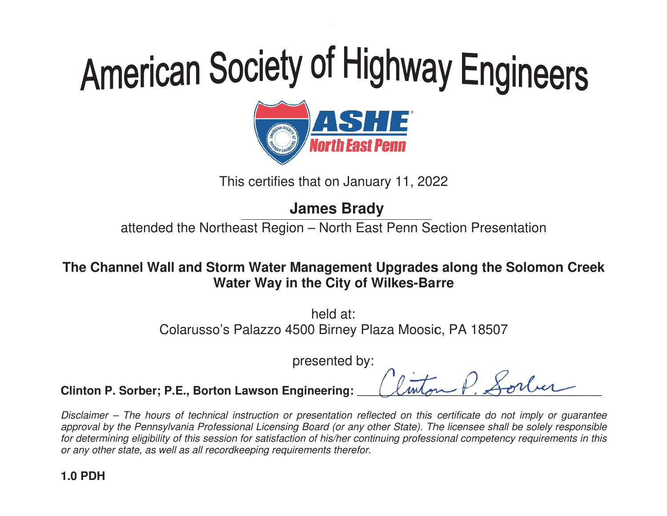# American Society of Highway Engineers<br> **ORIGITE:**<br>
This certifies that on January 11, 2022<br>
James Brady



This certifies that on January 11, 2022

attended the Northeast Region – North East Penn Section Presentation

The Channel Wall and Storm Water Management Upgrades along the Solomon Creek<br>Water Way in the City of Wilkes-Barre **Water Way in the City of Wilkes-Barre** 

> Colarusso's Palazzo 4500 Birney Plaza Moosic, PA 18507<br>presented by: h held at:

presented by:

---- $\overline{\mathcal{C}}$ 

----- $\overline{A}$  $\overline{a}$ - $\overline{A}$ <u>لي</u> ------------

--- $\overline{\mathcal{U}}$ -------------- $\leq$ ------ $\frac{\iota}{\iota}$  $\overline{ }$ <u>با</u> ----<u>ا</u>

-

-----------

**Clinton P. Sorber; P.E., Borton Lawson Engineering: \_** 

Disclaimer – The hours of technical instruction or presentation reflected on this certificate do not imply or quarantee approval by the Pennsylvania Professional Licensing Board (or any other State). The licensee shall be solely responsible for determining eligibility of this session for satisfaction of his/her continu or any other state, as well as all recordkeeping requirements therefor. ral by the Pennsylvania Professional Licensing Board (or any other State). The licensee shall<br>ermining eligibility of this session for satisfaction of his/her continuing professional competenc<br>other state, as well as all r This certifies that on January 11, 2022<br> **James Brady**<br>
tended the Northeast Region – North East Penn Section Presenta<br>
el **Wall and Storm Water Management Upgrades along the Sol<br>
Water Way in the City of Wilkes-Barre<br>
hel Water Way in the City of Wilkes-Barre**<br>
held at:<br>
Colarusso's Palazzo 4500 Birney Plaza Moosic, F<br>
presented by:<br> **inton P. Sorber; P.E., Borton Lawson Engineering:**<br> *sclaimer – The hours of technical instruction or pres* continuing professional competency requirements in this The Channel Wall and Storm Water Management Upgrades along the Solomon Creek<br>
Water Way in the City of Wilkes-Barre<br>
held at:<br>
Colarusso's Palazzo 4500 Birney Plaza Moosic, PA 18507<br>
presented by:<br>
Clinton P. Sorber; P.E.,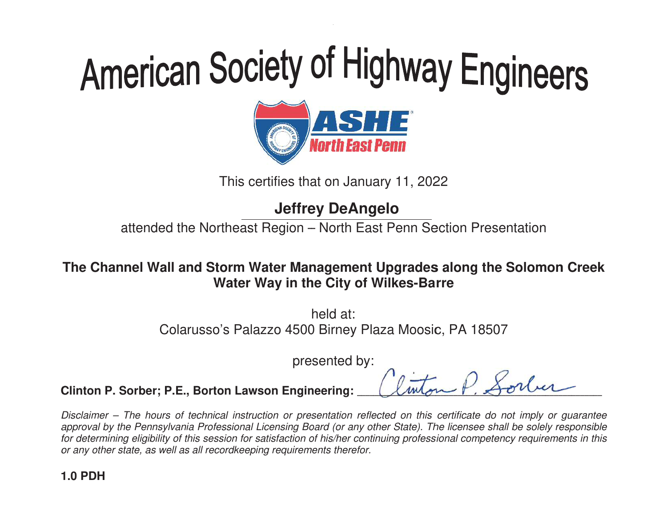# American Society of Highway Engineers<br> **ORIGITE:**<br>
This certifies that on January 11, 2022<br>
Jeffrey DeAngelo



This certifies that on January 11, 2022

attended the Northeast Region – North East Penn Section Presentation

# The Channel Wall and Storm Water Management Upgrades along the Solomon Creek<br>Water Way in the City of Wilkes-Barre **Water Way in the City of Wilkes-Barre**

Colarusso's Palazzo 4500 Birney Plaza Moosic, PA 18507<br>presented by: h held at:

presented by:

--- $\overline{\mathcal{C}}$ 

----- $\overline{A}$  $\overline{a}$ - $\overline{A}$ <u>لي</u> ------------

--- $\overline{\mathcal{U}}$ -------------- $\leq$ ------ $\frac{\iota}{\iota}$  $\overline{ }$ <u>با</u> ----<u>ا</u>

-

-----------

**Clinton P. Sorber; P.E., Borton Lawson Engineering: \_** -

Disclaimer – The hours of technical instruction or presentation reflected on this certificate do not imply or quarantee approval by the Pennsylvania Professional Licensing Board (or any other State). The licensee shall be solely responsible for determining eligibility of this session for satisfaction of his/her continu or any other state, as well as all recordkeeping requirements therefor. ral by the Pennsylvania Professional Licensing Board (or any other State). The licensee shall<br>ermining eligibility of this session for satisfaction of his/her continuing professional competenc<br>other state, as well as all r This certifies that on January 11, 2022<br> **Jeffrey DeAngelo**<br>
tended the Northeast Region – North East Penn Section Presenta<br>
el **Wall and Storm Water Management Upgrades along the Sol<br>
Water Way in the City of Wilkes-Barre Water Way in the City of Wilkes-Barre**<br>
held at:<br>
Colarusso's Palazzo 4500 Birney Plaza Moosic, F<br>
presented by:<br> **inton P. Sorber; P.E., Borton Lawson Engineering:**<br> *sclaimer – The hours of technical instruction or pres* continuing professional competency requirements in this The Channel Wall and Storm Water Management Upgrades along the Solomon Creek<br>
Water Way in the City of Wilkes-Barre<br>
held at:<br>
Colarusso's Palazzo 4500 Birney Plaza Moosic, PA 18507<br>
presented by:<br>
Clinton P. Sorber; P.E.,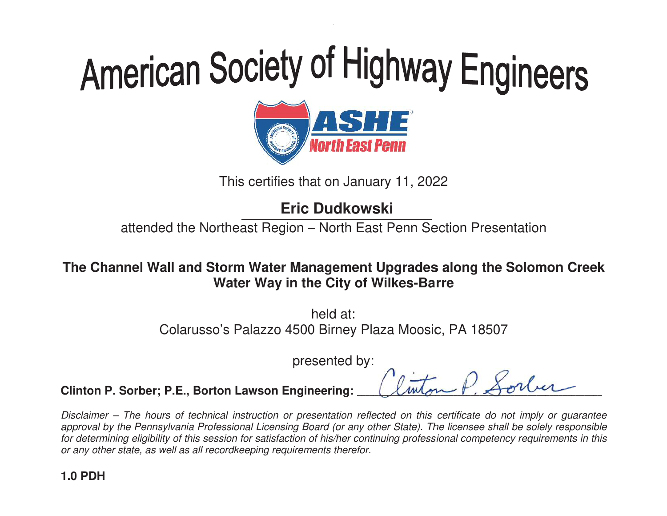# American Society of Highway Engineers<br> **OFFICE**<br>
This certifies that on January 11, 2022<br>
Eric Dudkowski



This certifies that on January 11, 2022

attended the Northeast Region – North East Penn Section Presentation

# The Channel Wall and Storm Water Management Upgrades along the Solomon Creek<br>Water Way in the City of Wilkes-Barre **Water Way in the City of Wilkes-Barre**

Colarusso's Palazzo 4500 Birney Plaza Moosic, PA 18507<br>presented by: h held at:

presented by:

--- $\overline{\mathcal{C}}$ 

----- $\overline{A}$  $\overline{a}$ - $\overline{A}$ <u>لي</u> ------------

--- $\overline{\mathcal{U}}$ -------------- $\leq$ ------ $\frac{\iota}{\iota}$  $\overline{ }$ <u>با</u> ----<u>ا</u>

-

-----------

**Clinton P. Sorber; P.E., Borton Lawson Engineering: \_** -

Disclaimer – The hours of technical instruction or presentation reflected on this certificate do not imply or quarantee approval by the Pennsylvania Professional Licensing Board (or any other State). The licensee shall be solely responsible for determining eligibility of this session for satisfaction of his/her continu or any other state, as well as all recordkeeping requirements therefor. ral by the Pennsylvania Professional Licensing Board (or any other State). The licensee shall<br>ermining eligibility of this session for satisfaction of his/her continuing professional competenc<br>other state, as well as all r This certifies that on January 11, 2022<br> **Eric Dudkowski**<br>
tended the Northeast Region – North East Penn Section Presenta<br>
el **Wall and Storm Water Management Upgrades along the Sol<br>
Water Way in the City of Wilkes-Barre<br> Water Way in the City of Wilkes-Barre**<br>
held at:<br>
Colarusso's Palazzo 4500 Birney Plaza Moosic, F<br>
presented by:<br> **inton P. Sorber; P.E., Borton Lawson Engineering:**<br> *sclaimer – The hours of technical instruction or pres* continuing professional competency requirements in this The Channel Wall and Storm Water Management Upgrades along the Solomon Creek<br>
Water Way in the City of Wilkes-Barre<br>
held at:<br>
Colarusso's Palazzo 4500 Birney Plaza Moosic, PA 18507<br>
presented by:<br>
Clinton P. Sorber; P.E.,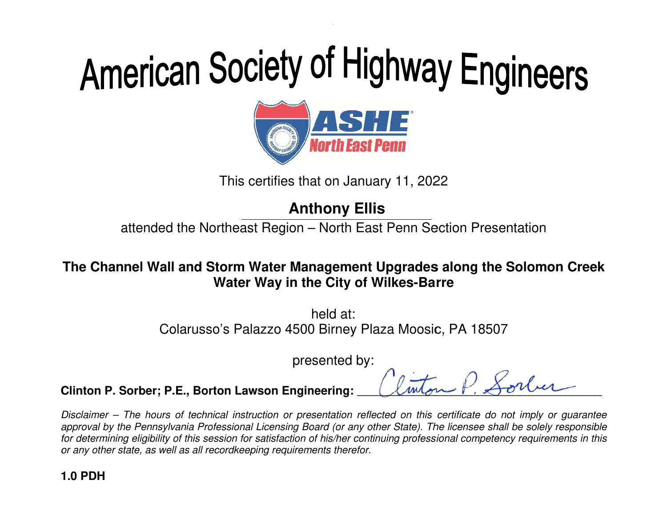

This certifies that on January 11, 2022

# **Anthony Ellis**

attended the Northeast Region – North East Penn Section Presentation

# The Channel Wall and Storm Water Management Upgrades along the Solomon Creek<br>Water Way in the City of Wilkes-Barre **Water Way in the City of Wilkes-Barre**

Colarusso's Palazzo 4500 Birney Plaza Moosic, PA 18507 Birney Plaza Moosic, PA 4500 Birney presented by Palazzo 4500 by: Colarusso's Palazzo PA 18507 h held at:

presented by:

 $\mathcal{L}$ mbon  $\mathcal{F}$ ,  $\mathcal{D}$ onier

 $\triangle\,$ 

**Clinton P. Sorber; P.E., Borton Lawson Engineering EngineeringBorton Lawson Engineering:** \_\_\_\_\_\_  $\mathcal{L}$ unon  $\mathcal{F}$ .

Disclaimer – The hours of technical instruction or presentation reflected on this certificate do not imply or quarantee approval by the Pennsylvania Professional Licensing Board (or any other State). The licensee shall be solely responsible<br>for determining eligibility of this session for satisfaction of his/her continuing professional compe for determining eligibility of this session for satisfaction of his/her continuing professional competency requirements in this or any other state, as well as all recordkeeping requirements therefor. This certifies that on January 11, 2022<br> **Anthony Ellis**<br>
tended the Northeast Region – North East Penn Section Presenta<br>
el Wall and Storm Water Management Upgrades along the Sol<br>
Water Way in the City of Wilkes-Barre<br>
he **Anthony Ellis**<br>attended the Northeast Region – North East Penn Sective<br>the Channel Wall and Storm Water Management Upgrades al<br>water Way in the City of Wilkes-Barre<br>held at:<br>Colarusso's Palazzo 4500 Birney Plaza Moosic, F The Channel Wall and Storm Water Management Upgrades along the Solomon Creek<br>
Water Way in the City of Wilkes-Barre<br>
held at:<br>
Colarusso's Palazzo 4500 Birney Plaza Moosic, PA 18507<br>
presented by:<br>
Clinton P. Sorber; P.E.,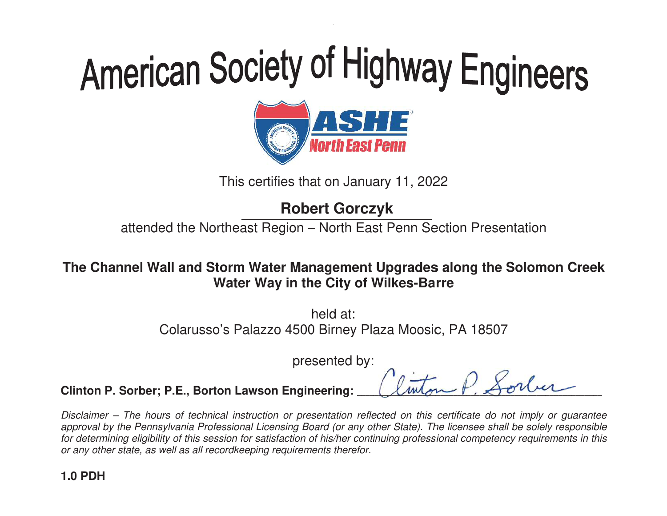# American Society of Highway Engineers<br> **ORIGITE:**<br>
This certifies that on January 11, 2022<br>
Robert Gorczyk



This certifies that on January 11, 2022

attended the Northeast Region – North East Penn Section Presentation

# The Channel Wall and Storm Water Management Upgrades along the Solomon Creek<br>Water Way in the City of Wilkes-Barre **Water Way in the City of Wilkes-Barre**

Colarusso's Palazzo 4500 Birney Plaza Moosic, PA 18507<br>presented by: h held at:

presented by:

---------

--------- $\leq$ ------ $\frac{\iota}{\iota}$  $\overline{ }$ <u>با</u> ----<u>ا</u>

-

-----------

**Clinton P. Sorber; P.E., Borton Lawson Engineering: \_** ---- $\overline{\mathcal{C}}$ ----- $\overline{A}$  $\overline{a}$ - $\overline{A}$ <u>لي</u> ------ $\overline{\mathcal{U}}$ -----

Disclaimer – The hours of technical instruction or presentation reflected on this certificate do not imply or quarantee approval by the Pennsylvania Professional Licensing Board (or any other State). The licensee shall be solely responsible for determining eligibility of this session for satisfaction of his/her continu or any other state, as well as all recordkeeping requirements therefor. ral by the Pennsylvania Professional Licensing Board (or any other State). The licensee shall<br>ermining eligibility of this session for satisfaction of his/her continuing professional competenc<br>other state, as well as all r This certifies that on January 11, 2022<br> **Robert Gorczyk**<br>
tended the Northeast Region – North East Penn Section Presenta<br>
el **Wall and Storm Water Management Upgrades along the Sol<br>
Water Way in the City of Wilkes-Barre<br> Water Way in the City of Wilkes-Barre**<br>
held at:<br>
Colarusso's Palazzo 4500 Birney Plaza Moosic, F<br>
presented by:<br> **inton P. Sorber; P.E., Borton Lawson Engineering:**<br> *sclaimer – The hours of technical instruction or pres* continuing professional competency requirements in this The Channel Wall and Storm Water Management Upgrades along the Solomon Creek<br>
Water Way in the City of Wilkes-Barre<br>
held at:<br>
Colarusso's Palazzo 4500 Birney Plaza Moosic, PA 18507<br>
presented by:<br>
Clinton P. Sorber; P.E.,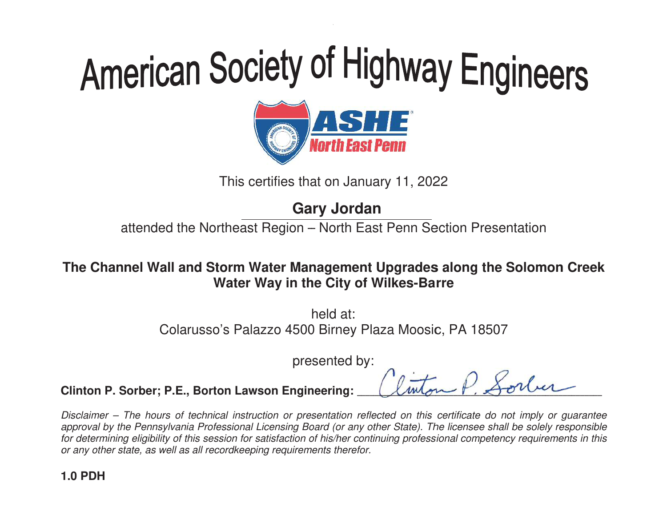# American Society of Highway Engineers<br> **ORIGITE:**<br>
This certifies that on January 11, 2022<br>
Gary Jordan



This certifies that on January 11, 2022

attended the Northeast Region – North East Penn Section Presentation

The Channel Wall and Storm Water Management Upgrades along the Solomon Creek<br>Water Way in the City of Wilkes-Barre **Water Way in the City of Wilkes-Barre** 

> Colarusso's Palazzo 4500 Birney Plaza Moosic, PA 18507<br>presented by: h held at:

presented by:

--- $\overline{\mathcal{C}}$ 

----- $\overline{A}$  $\overline{a}$ - $\overline{A}$ <u>لي</u> ------------

--- $\overline{\mathcal{U}}$ -------------- $\leq$ ------ $\frac{\iota}{\iota}$  $\overline{ }$ <u>با</u> ----<u>ا</u>

-

-----------

**Clinton P. Sorber; P.E., Borton Lawson Engineering: \_** -

Disclaimer – The hours of technical instruction or presentation reflected on this certificate do not imply or quarantee approval by the Pennsylvania Professional Licensing Board (or any other State). The licensee shall be solely responsible for determining eligibility of this session for satisfaction of his/her continu or any other state, as well as all recordkeeping requirements therefor. ral by the Pennsylvania Professional Licensing Board (or any other State). The licensee shall<br>ermining eligibility of this session for satisfaction of his/her continuing professional competenc<br>other state, as well as all r This certifies that on January 11, 2022<br> **Gary Jordan**<br>
tended the Northeast Region – North East Penn Section Presenta<br>
el Wall and Storm Water Management Upgrades along the Sol<br>
Water Way in the City of Wilkes-Barre<br>
held **Water Way in the City of Wilkes-Barre**<br>
held at:<br>
Colarusso's Palazzo 4500 Birney Plaza Moosic, F<br>
presented by:<br> **inton P. Sorber; P.E., Borton Lawson Engineering:**<br> *sclaimer – The hours of technical instruction or pres* continuing professional competency requirements in this The Channel Wall and Storm Water Management Upgrades along the Solomon Creek<br>
Water Way in the City of Wilkes-Barre<br>
held at:<br>
Colarusso's Palazzo 4500 Birney Plaza Moosic, PA 18507<br>
presented by:<br>
Clinton P. Sorber; P.E.,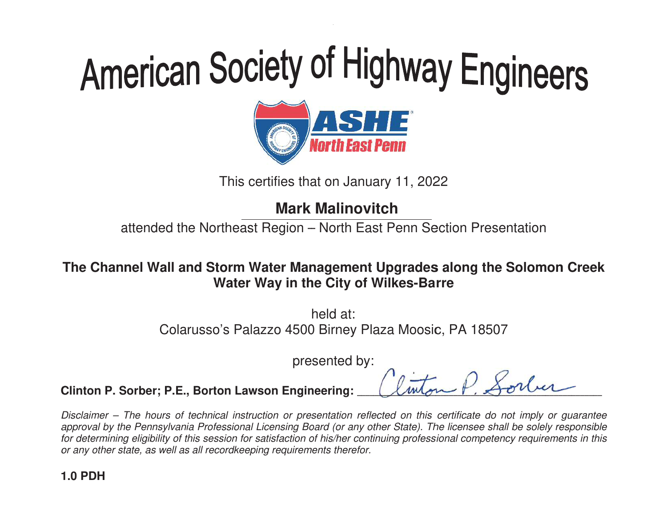# American Society of Highway Engineers<br> **ORIGE:**<br>
This certifies that on January 11, 2022<br>
Mark Malinovitch



This certifies that on January 11, 2022

attended the Northeast Region – North East Penn Section Presentation

# The Channel Wall and Storm Water Management Upgrades along the Solomon Creek<br>Water Way in the City of Wilkes-Barre **Water Way in the City of Wilkes-Barre**

Colarusso's Palazzo 4500 Birney Plaza Moosic, PA 18507<br>presented by: h held at:

presented by:

-- $\overline{A}$  $\overline{a}$ - $\overline{A}$ <u>لي</u> ------------

-- $\overline{\mathcal{U}}$ -------------- $\leq$ ------ $\frac{\iota}{\iota}$  $\overline{ }$ <u>با</u> ----<u>ا</u>

-

-----------

**Clinton P. Sorber; P.E., Borton Lawson Engineering: \_** ---- $\overline{\mathcal{C}}$ ----

Disclaimer – The hours of technical instruction or presentation reflected on this certificate do not imply or quarantee approval by the Pennsylvania Professional Licensing Board (or any other State). The licensee shall be solely responsible for determining eligibility of this session for satisfaction of his/her continu or any other state, as well as all recordkeeping requirements therefor. ral by the Pennsylvania Professional Licensing Board (or any other State). The licensee shall<br>ermining eligibility of this session for satisfaction of his/her continuing professional competenc<br>other state, as well as all r This certifies that on January 11, 2022<br> **Mark Malinovitch**<br>
tended the Northeast Region – North East Penn Section Presenta<br>
el **Wall and Storm Water Management Upgrades along the Sol<br>
Water Way in the City of Wilkes-Barre Water Way in the City of Wilkes-Barre**<br>
held at:<br>
Colarusso's Palazzo 4500 Birney Plaza Moosic, F<br>
presented by:<br> **inton P. Sorber; P.E., Borton Lawson Engineering:**<br> *sclaimer – The hours of technical instruction or pres* continuing professional competency requirements in this The Channel Wall and Storm Water Management Upgrades along the Solomon Creek<br>
Water Way in the City of Wilkes-Barre<br>
held at:<br>
Colarusso's Palazzo 4500 Birney Plaza Moosic, PA 18507<br>
presented by:<br>
Clinton P. Sorber; P.E.,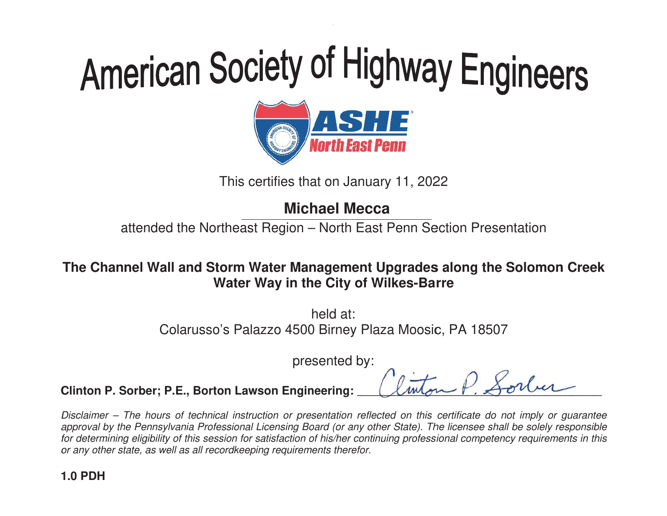# American Society of Highway Engineers<br> **ORIGITE:**<br>
This certifies that on January 11, 2022<br>
Michael Mecca



This certifies that on January 11, 2022

attended the Northeast Region – North East Penn Section Presentation

# The Channel Wall and Storm Water Management Upgrades along the Solomon Creek<br>Water Way in the City of Wilkes-Barre **Water Way in the City of Wilkes-Barre**

Colarusso's Palazzo 4500 Birney Plaza Moosic, PA 18507<br>presented by: h held at:

presented by:

-------

-------- $\leq$ ------ $\frac{\iota}{\iota}$  $\overline{ }$ <u>با</u> ----<u>ا</u>

-

-----------

**Clinton P. Sorber; P.E., Borton Lawson Engineering: \_** ---- $\overline{\mathcal{C}}$ ----- $\overline{A}$  $\overline{a}$ - $\overline{A}$ <u>لي</u> -------- $\overline{\mathcal{U}}$ ------

Disclaimer – The hours of technical instruction or presentation reflected on this certificate do not imply or quarantee approval by the Pennsylvania Professional Licensing Board (or any other State). The licensee shall be solely responsible for determining eligibility of this session for satisfaction of his/her continu or any other state, as well as all recordkeeping requirements therefor. ral by the Pennsylvania Professional Licensing Board (or any other State). The licensee shall<br>ermining eligibility of this session for satisfaction of his/her continuing professional competenc<br>other state, as well as all r This certifies that on January 11, 2022<br> **Michael Mecca**<br>
tended the Northeast Region – North East Penn Section Presenta<br>
el **Wall and Storm Water Management Upgrades along the Sol<br>
Water Way in the City of Wilkes-Barre<br>
h Water Way in the City of Wilkes-Barre**<br>
held at:<br>
Colarusso's Palazzo 4500 Birney Plaza Moosic, F<br>
presented by:<br> **inton P. Sorber; P.E., Borton Lawson Engineering:**<br> *sclaimer – The hours of technical instruction or pres* continuing professional competency requirements in this The Channel Wall and Storm Water Management Upgrades along the Solomon Creek<br>
Water Way in the City of Wilkes-Barre<br>
held at:<br>
Colarusso's Palazzo 4500 Birney Plaza Moosic, PA 18507<br>
presented by:<br>
Clinton P. Sorber; P.E.,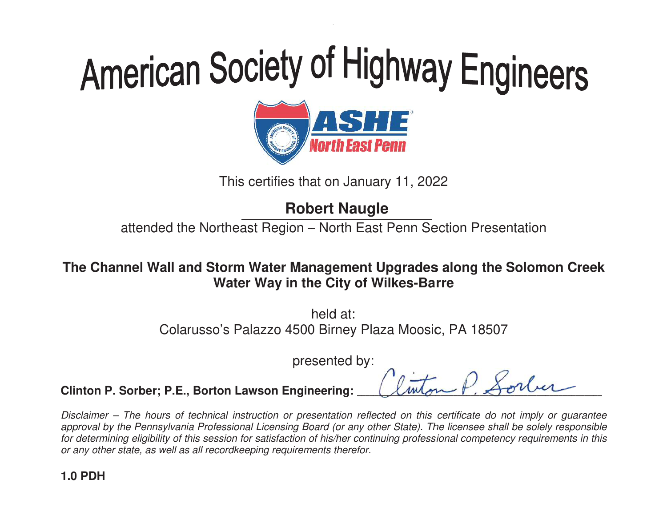

This certifies that on January 11, 2022

# **Robert Naugle**

attended the Northeast Region – North East Penn Section Presentation

# The Channel Wall and Storm Water Management Upgrades along the Solomon Creek<br>Water Way in the City of Wilkes-Barre **Water Way in the City of Wilkes-Barre**

Colarusso's Palazzo 4500 Birney Plaza Moosic, PA 18507<br>presented by: h held at:

presented by:

-----------

----------- $\leq$ ------ $\frac{\iota}{\iota}$  $\overline{ }$ <u>با</u> ----<u>ا</u>

-

-----------

**Clinton P. Sorber; P.E., Borton Lawson Engineering: \_** ---- $\overline{\mathcal{C}}$ ----- $\overline{A}$  $\overline{a}$ - $\overline{A}$ <u>لي</u> ---- $\overline{\mathcal{U}}$ ---

Disclaimer – The hours of technical instruction or presentation reflected on this certificate do not imply or quarantee approval by the Pennsylvania Professional Licensing Board (or any other State). The licensee shall be solely responsible for determining eligibility of this session for satisfaction of his/her continu or any other state, as well as all recordkeeping requirements therefor. ral by the Pennsylvania Professional Licensing Board (or any other State). The licensee shall<br>ermining eligibility of this session for satisfaction of his/her continuing professional competenc<br>other state, as well as all r This certifies that on January 11, 2022<br> **Robert Naugle**<br>
tended the Northeast Region – North East Penn Section Presenta<br>
el **Wall and Storm Water Management Upgrades along the Sol<br>
Water Way in the City of Wilkes-Barre<br>
h Water Way in the City of Wilkes-Barre**<br>
held at:<br>
Colarusso's Palazzo 4500 Birney Plaza Moosic, F<br>
presented by:<br> **inton P. Sorber; P.E., Borton Lawson Engineering:**<br> *sclaimer – The hours of technical instruction or pres* continuing professional competency requirements in this The Channel Wall and Storm Water Management Upgrades along the Solomon Creek<br>
Water Way in the City of Wilkes-Barre<br>
held at:<br>
Colarusso's Palazzo 4500 Birney Plaza Moosic, PA 18507<br>
presented by:<br>
Clinton P. Sorber; P.E.,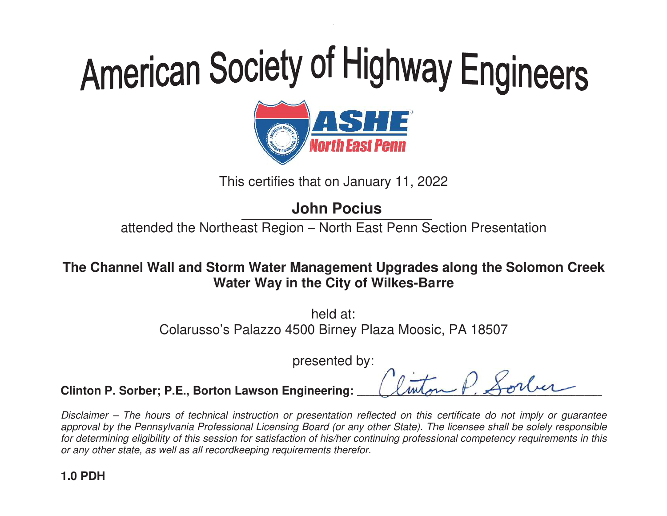

This certifies that on January 11, 2022

# **John Pocius**

attended the Northeast Region – North East Penn Section Presentation

The Channel Wall and Storm Water Management Upgrades along the Solomon Creek<br>Water Way in the City of Wilkes-Barre **Water Way in the City of Wilkes-Barre** 

> Colarusso's Palazzo 4500 Birney Plaza Moosic, PA 18507<br>presented by: h held at:

presented by:

---- $\overline{\mathcal{C}}$ 

----- $\overline{A}$  $\overline{a}$ - $\overline{A}$ <u>لي</u> ------------

--- $\overline{\mathcal{U}}$ -------------- $\leq$ ------ $\frac{\iota}{\iota}$  $\overline{ }$ <u>با</u> ----<u>ا</u>

-

-----------

**Clinton P. Sorber; P.E., Borton Lawson Engineering: \_** 

Disclaimer – The hours of technical instruction or presentation reflected on this certificate do not imply or quarantee approval by the Pennsylvania Professional Licensing Board (or any other State). The licensee shall be solely responsible for determining eligibility of this session for satisfaction of his/her continu or any other state, as well as all recordkeeping requirements therefor. ral by the Pennsylvania Professional Licensing Board (or any other State). The licensee shall<br>ermining eligibility of this session for satisfaction of his/her continuing professional competenc<br>other state, as well as all r This certifies that on January 11, 2022<br> **John Pocius**<br>
tended the Northeast Region – North East Penn Section Presenta<br>
el Wall and Storm Water Management Upgrades along the Sol<br>
Water Way in the City of Wilkes-Barre<br>
held **Water Way in the City of Wilkes-Barre**<br>
held at:<br>
Colarusso's Palazzo 4500 Birney Plaza Moosic, F<br>
presented by:<br> **inton P. Sorber; P.E., Borton Lawson Engineering:**<br> *sclaimer – The hours of technical instruction or pres* continuing professional competency requirements in this The Channel Wall and Storm Water Management Upgrades along the Solomon Creek<br>
Water Way in the City of Wilkes-Barre<br>
held at:<br>
Colarusso's Palazzo 4500 Birney Plaza Moosic, PA 18507<br>
presented by:<br>
Clinton P. Sorber; P.E.,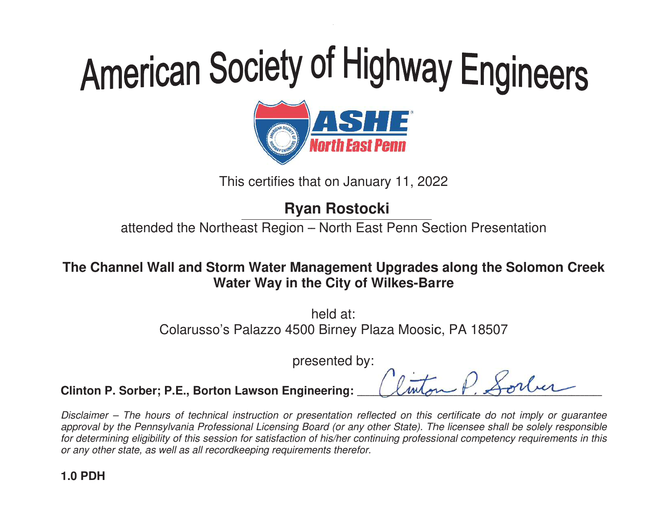

This certifies that on January 11, 2022

# **Ryan Rostocki**

attended the Northeast Region – North East Penn Section Presentation

# The Channel Wall and Storm Water Management Upgrades along the Solomon Creek<br>Water Way in the City of Wilkes-Barre **Water Way in the City of Wilkes-Barre**

Colarusso's Palazzo 4500 Birney Plaza Moosic, PA 18507<br>presented by: h held at:

presented by:

---- $\overline{\mathcal{C}}$ 

----- $\overline{A}$  $\overline{a}$ - $\overline{A}$ <u>لي</u> ------------

--- $\overline{\mathcal{U}}$ -------------- $\leq$ ------ $\frac{\iota}{\iota}$  $\overline{ }$ <u>با</u> ----<u>ا</u>

-

-----------

**Clinton P. Sorber; P.E., Borton Lawson Engineering: \_** 

Disclaimer – The hours of technical instruction or presentation reflected on this certificate do not imply or quarantee approval by the Pennsylvania Professional Licensing Board (or any other State). The licensee shall be solely responsible for determining eligibility of this session for satisfaction of his/her continu or any other state, as well as all recordkeeping requirements therefor. ral by the Pennsylvania Professional Licensing Board (or any other State). The licensee shall<br>ermining eligibility of this session for satisfaction of his/her continuing professional competenc<br>other state, as well as all r This certifies that on January 11, 2022<br> **Ryan Rostocki**<br>
tended the Northeast Region – North East Penn Section Presenta<br>
el **Wall and Storm Water Management Upgrades along the Sol<br>
Water Way in the City of Wilkes-Barre<br>
h Water Way in the City of Wilkes-Barre**<br>
held at:<br>
Colarusso's Palazzo 4500 Birney Plaza Moosic, F<br>
presented by:<br> **inton P. Sorber; P.E., Borton Lawson Engineering:**<br> *sclaimer – The hours of technical instruction or pres* continuing professional competency requirements in this The Channel Wall and Storm Water Management Upgrades along the Solomon Creek<br>
Water Way in the City of Wilkes-Barre<br>
held at:<br>
Colarusso's Palazzo 4500 Birney Plaza Moosic, PA 18507<br>
presented by:<br>
Clinton P. Sorber; P.E.,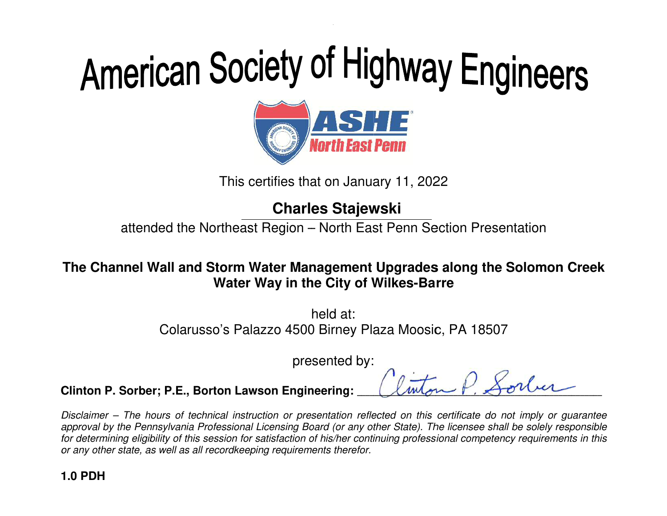

This certifies that on January 11, 2022

# **Charles**

attended the Northeast Region – North East Penn Section Presentation

# The Channel Wall and Storm Water Management Upgrades along the Solomon Creek<br>Water Way in the City of Wilkes-Barre **Water Way in the City of Wilkes-Barre**

Colarusso's Palazzo 4500 Birney Plaza Moosic, PA 18507 Birney Plaza Moosic, PA 4500 Birney presented by Palazzo 4500 by: Colarusso's Palazzo PA 18507 h held at:

presented by:

 $\mathcal{L}$ mbon  $\mathcal{F}$ ,  $\mathcal{L}$ onici

 $\triangle\,$ 

**Clinton P. Sorber; P.E., Borton Lawson Engineering: \_\_\_\_\_\_\_\_\_\_\_\_\_\_\_\_\_\_\_\_\_\_\_\_\_\_\_\_**  $\mathcal{L}$ unon  $\mathcal{F}$ .

Disclaimer – The hours of technical instruction or presentation reflected on this certificate do not imply or quarantee approval by the Pennsylvania Professional Licensing Board (or any other State). The licensee shall be solely responsible for determining eligibility of this session for satisfaction of his/her continu or any other state, as well as all recordkeeping requirements therefor. ral by the Pennsylvania Professional Licensing Board (or any other State). The licensee shall<br>ermining eligibility of this session for satisfaction of his/her continuing professional competenc<br>other state, as well as all r This certifies that on January 11, 2022<br> **Charles Stajewski**<br>
tended the Northeast Region – North East Penn Section Presenta<br>
el **Wall and Storm Water Management Upgrades along the Sol<br>
Water Way in the City of Wilkes-Barr Water Way in the City of Wilkes-Barre**<br>
held at:<br>
Colarusso's Palazzo 4500 Birney Plaza Moosic, F<br>
presented by:<br> **inton P. Sorber; P.E., Borton Lawson Engineering:**<br> *sclaimer – The hours of technical instruction or pres* continuing professional competency requirements in this The Channel Wall and Storm Water Management Upgrades along the Solomon Creek<br>
Water Way in the City of Wilkes-Barre<br>
held at:<br>
Colarusso's Palazzo 4500 Birney Plaza Moosic, PA 18507<br>
presented by:<br>
Clinton P. Sorber; P.E.,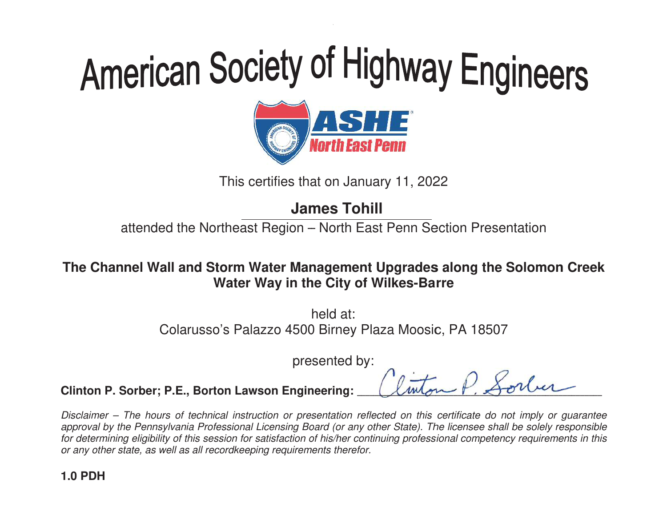

This certifies that on January 11, 2022

# **James Tohill**

attended the Northeast Region – North East Penn Section Presentation

# The Channel Wall and Storm Water Management Upgrades along the Solomon Creek<br>Water Way in the City of Wilkes-Barre **Water Way in the City of Wilkes-Barre**

Colarusso's Palazzo 4500 Birney Plaza Moosic, PA 18507<br>presented by: h held at:

presented by:

--- $\overline{\mathcal{C}}$ 

----- $\overline{A}$  $\overline{a}$ - $\overline{A}$ <u>لي</u> ------------

--- $\overline{\mathcal{U}}$ -------------- $\leq$ ------ $\frac{\iota}{\iota}$  $\overline{ }$ <u>با</u> ----<u>ا</u>

-

-----------

**Clinton P. Sorber; P.E., Borton Lawson Engineering: \_** -

Disclaimer – The hours of technical instruction or presentation reflected on this certificate do not imply or quarantee approval by the Pennsylvania Professional Licensing Board (or any other State). The licensee shall be solely responsible for determining eligibility of this session for satisfaction of his/her continu or any other state, as well as all recordkeeping requirements therefor. ral by the Pennsylvania Professional Licensing Board (or any other State). The licensee shall<br>ermining eligibility of this session for satisfaction of his/her continuing professional competenc<br>other state, as well as all r This certifies that on January 11, 2022<br> **James Tohill**<br>
tended the Northeast Region – North East Penn Section Presenta<br>
el **Wall and Storm Water Management Upgrades along the Sol<br>
Water Way in the City of Wilkes-Barre<br>
he Water Way in the City of Wilkes-Barre**<br>
held at:<br>
Colarusso's Palazzo 4500 Birney Plaza Moosic, F<br>
presented by:<br> **inton P. Sorber; P.E., Borton Lawson Engineering:**<br> *sclaimer – The hours of technical instruction or pres* continuing professional competency requirements in this The Channel Wall and Storm Water Management Upgrades along the Solomon Creek<br>
Water Way in the City of Wilkes-Barre<br>
held at:<br>
Colarusso's Palazzo 4500 Birney Plaza Moosic, PA 18507<br>
presented by:<br>
Clinton P. Sorber; P.E.,